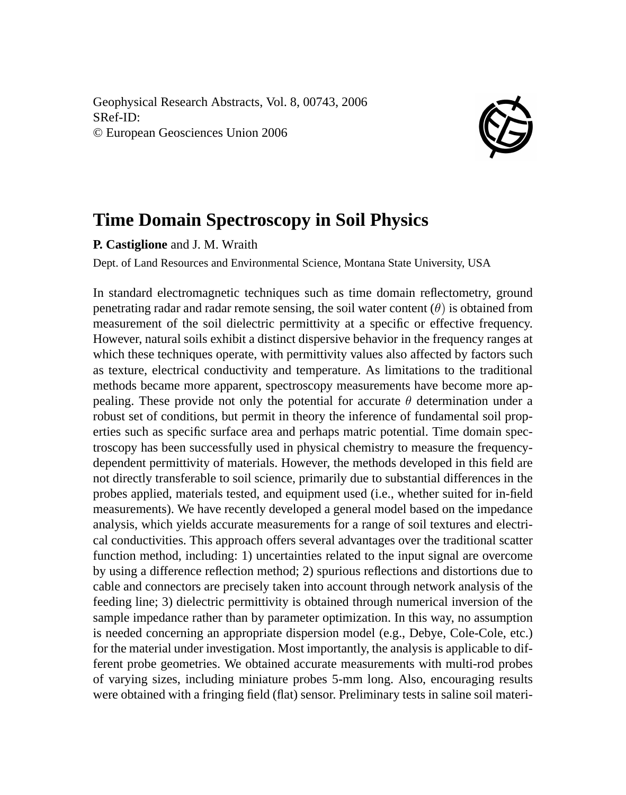Geophysical Research Abstracts, Vol. 8, 00743, 2006 SRef-ID: © European Geosciences Union 2006



## **Time Domain Spectroscopy in Soil Physics**

**P. Castiglione** and J. M. Wraith

Dept. of Land Resources and Environmental Science, Montana State University, USA

In standard electromagnetic techniques such as time domain reflectometry, ground penetrating radar and radar remote sensing, the soil water content  $(\theta)$  is obtained from measurement of the soil dielectric permittivity at a specific or effective frequency. However, natural soils exhibit a distinct dispersive behavior in the frequency ranges at which these techniques operate, with permittivity values also affected by factors such as texture, electrical conductivity and temperature. As limitations to the traditional methods became more apparent, spectroscopy measurements have become more appealing. These provide not only the potential for accurate  $\theta$  determination under a robust set of conditions, but permit in theory the inference of fundamental soil properties such as specific surface area and perhaps matric potential. Time domain spectroscopy has been successfully used in physical chemistry to measure the frequencydependent permittivity of materials. However, the methods developed in this field are not directly transferable to soil science, primarily due to substantial differences in the probes applied, materials tested, and equipment used (i.e., whether suited for in-field measurements). We have recently developed a general model based on the impedance analysis, which yields accurate measurements for a range of soil textures and electrical conductivities. This approach offers several advantages over the traditional scatter function method, including: 1) uncertainties related to the input signal are overcome by using a difference reflection method; 2) spurious reflections and distortions due to cable and connectors are precisely taken into account through network analysis of the feeding line; 3) dielectric permittivity is obtained through numerical inversion of the sample impedance rather than by parameter optimization. In this way, no assumption is needed concerning an appropriate dispersion model (e.g., Debye, Cole-Cole, etc.) for the material under investigation. Most importantly, the analysis is applicable to different probe geometries. We obtained accurate measurements with multi-rod probes of varying sizes, including miniature probes 5-mm long. Also, encouraging results were obtained with a fringing field (flat) sensor. Preliminary tests in saline soil materi